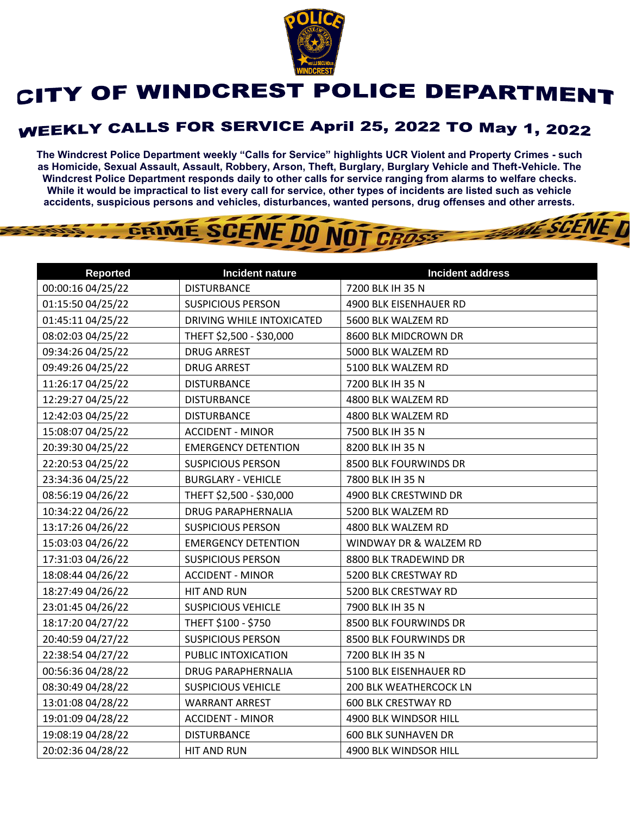

## CITY OF WINDCREST POLICE DEPARTMENT

## **WEEKLY CALLS FOR SERVICE April 25, 2022 TO May 1, 2022**

**The Windcrest Police Department weekly "Calls for Service" highlights UCR Violent and Property Crimes - such as Homicide, Sexual Assault, Assault, Robbery, Arson, Theft, Burglary, Burglary Vehicle and Theft-Vehicle. The Windcrest Police Department responds daily to other calls for service ranging from alarms to welfare checks. While it would be impractical to list every call for service, other types of incidents are listed such as vehicle accidents, suspicious persons and vehicles, disturbances, wanted persons, drug offenses and other arrests.** 

**THE SCENE D** 

GRIME SCENE DO NOT CROSS

| <b>Reported</b>   | Incident nature            | <b>Incident address</b>    |
|-------------------|----------------------------|----------------------------|
| 00:00:16 04/25/22 | <b>DISTURBANCE</b>         | 7200 BLK IH 35 N           |
| 01:15:50 04/25/22 | <b>SUSPICIOUS PERSON</b>   | 4900 BLK EISENHAUER RD     |
| 01:45:11 04/25/22 | DRIVING WHILE INTOXICATED  | 5600 BLK WALZEM RD         |
| 08:02:03 04/25/22 | THEFT \$2,500 - \$30,000   | 8600 BLK MIDCROWN DR       |
| 09:34:26 04/25/22 | <b>DRUG ARREST</b>         | 5000 BLK WALZEM RD         |
| 09:49:26 04/25/22 | <b>DRUG ARREST</b>         | 5100 BLK WALZEM RD         |
| 11:26:17 04/25/22 | <b>DISTURBANCE</b>         | 7200 BLK IH 35 N           |
| 12:29:27 04/25/22 | <b>DISTURBANCE</b>         | 4800 BLK WALZEM RD         |
| 12:42:03 04/25/22 | <b>DISTURBANCE</b>         | 4800 BLK WALZEM RD         |
| 15:08:07 04/25/22 | <b>ACCIDENT - MINOR</b>    | 7500 BLK IH 35 N           |
| 20:39:30 04/25/22 | <b>EMERGENCY DETENTION</b> | 8200 BLK IH 35 N           |
| 22:20:53 04/25/22 | <b>SUSPICIOUS PERSON</b>   | 8500 BLK FOURWINDS DR      |
| 23:34:36 04/25/22 | <b>BURGLARY - VEHICLE</b>  | 7800 BLK IH 35 N           |
| 08:56:19 04/26/22 | THEFT \$2,500 - \$30,000   | 4900 BLK CRESTWIND DR      |
| 10:34:22 04/26/22 | <b>DRUG PARAPHERNALIA</b>  | 5200 BLK WALZEM RD         |
| 13:17:26 04/26/22 | <b>SUSPICIOUS PERSON</b>   | 4800 BLK WALZEM RD         |
| 15:03:03 04/26/22 | <b>EMERGENCY DETENTION</b> | WINDWAY DR & WALZEM RD     |
| 17:31:03 04/26/22 | <b>SUSPICIOUS PERSON</b>   | 8800 BLK TRADEWIND DR      |
| 18:08:44 04/26/22 | <b>ACCIDENT - MINOR</b>    | 5200 BLK CRESTWAY RD       |
| 18:27:49 04/26/22 | HIT AND RUN                | 5200 BLK CRESTWAY RD       |
| 23:01:45 04/26/22 | <b>SUSPICIOUS VEHICLE</b>  | 7900 BLK IH 35 N           |
| 18:17:20 04/27/22 | THEFT \$100 - \$750        | 8500 BLK FOURWINDS DR      |
| 20:40:59 04/27/22 | <b>SUSPICIOUS PERSON</b>   | 8500 BLK FOURWINDS DR      |
| 22:38:54 04/27/22 | PUBLIC INTOXICATION        | 7200 BLK IH 35 N           |
| 00:56:36 04/28/22 | <b>DRUG PARAPHERNALIA</b>  | 5100 BLK EISENHAUER RD     |
| 08:30:49 04/28/22 | <b>SUSPICIOUS VEHICLE</b>  | 200 BLK WEATHERCOCK LN     |
| 13:01:08 04/28/22 | <b>WARRANT ARREST</b>      | <b>600 BLK CRESTWAY RD</b> |
| 19:01:09 04/28/22 | <b>ACCIDENT - MINOR</b>    | 4900 BLK WINDSOR HILL      |
| 19:08:19 04/28/22 | <b>DISTURBANCE</b>         | <b>600 BLK SUNHAVEN DR</b> |
| 20:02:36 04/28/22 | HIT AND RUN                | 4900 BLK WINDSOR HILL      |